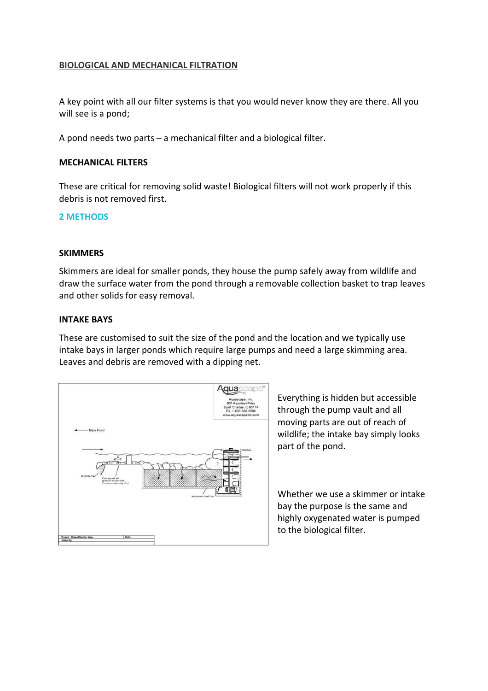## **BIOLOGICAL AND MECHANICAL FILTRATION**

A key point with all our filter systems is that you would never know they are there. All you will see is a pond;

A pond needs two parts – a mechanical filter and a biological filter.

### **MECHANICAL FILTERS**

These are critical for removing solid waste! Biological filters will not work properly if this debris is not removed first.

### **2 METHODS**

### **SKIMMERS**

Skimmers are ideal for smaller ponds, they house the pump safely away from wildlife and draw the surface water from the pond through a removable collection basket to trap leaves and other solids for easy removal.

#### **INTAKE BAYS**

These are customised to suit the size of the pond and the location and we typically use intake bays in larger ponds which require large pumps and need a large skimming area. Leaves and debris are removed with a dipping net.



Everything is hidden but accessible through the pump vault and all moving parts are out of reach of wildlife; the intake bay simply looks part of the pond.

Whether we use a skimmer or intake bay the purpose is the same and highly oxygenated water is pumped to the biological filter.